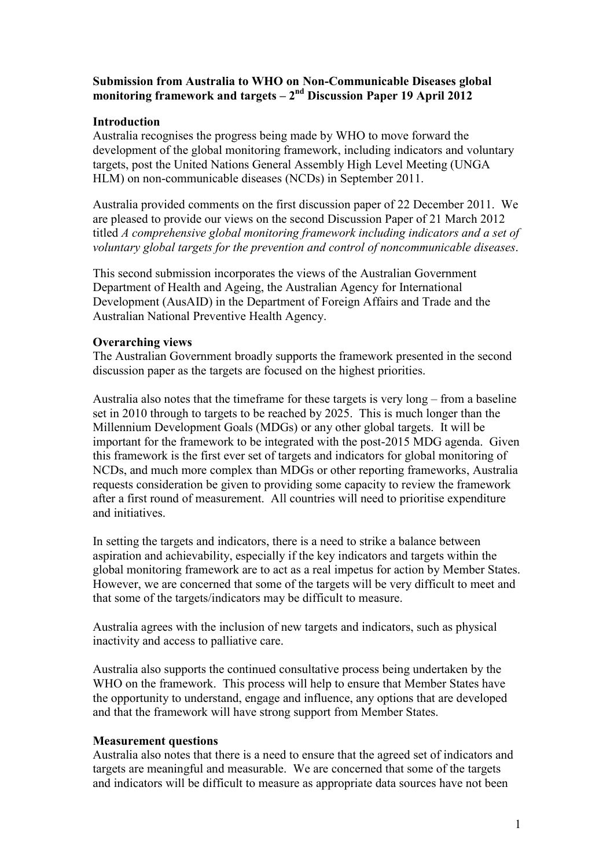# **Submission from Australia to WHO on Non-Communicable Diseases global monitoring framework and targets – 2 nd Discussion Paper 19 April 2012**

## **Introduction**

Australia recognises the progress being made by WHO to move forward the development of the global monitoring framework, including indicators and voluntary targets, post the United Nations General Assembly High Level Meeting (UNGA HLM) on non-communicable diseases (NCDs) in September 2011.

Australia provided comments on the first discussion paper of 22 December 2011. We are pleased to provide our views on the second Discussion Paper of 21 March 2012 titled *A comprehensive global monitoring framework including indicators and a set of voluntary global targets for the prevention and control of noncommunicable diseases*.

This second submission incorporates the views of the Australian Government Department of Health and Ageing, the Australian Agency for International Development (AusAID) in the Department of Foreign Affairs and Trade and the Australian National Preventive Health Agency.

## **Overarching views**

The Australian Government broadly supports the framework presented in the second discussion paper as the targets are focused on the highest priorities.

Australia also notes that the timeframe for these targets is very long – from a baseline set in 2010 through to targets to be reached by 2025. This is much longer than the Millennium Development Goals (MDGs) or any other global targets. It will be important for the framework to be integrated with the post-2015 MDG agenda. Given this framework is the first ever set of targets and indicators for global monitoring of NCDs, and much more complex than MDGs or other reporting frameworks, Australia requests consideration be given to providing some capacity to review the framework after a first round of measurement. All countries will need to prioritise expenditure and initiatives.

In setting the targets and indicators, there is a need to strike a balance between aspiration and achievability, especially if the key indicators and targets within the global monitoring framework are to act as a real impetus for action by Member States. However, we are concerned that some of the targets will be very difficult to meet and that some of the targets/indicators may be difficult to measure.

Australia agrees with the inclusion of new targets and indicators, such as physical inactivity and access to palliative care.

Australia also supports the continued consultative process being undertaken by the WHO on the framework. This process will help to ensure that Member States have the opportunity to understand, engage and influence, any options that are developed and that the framework will have strong support from Member States.

### **Measurement questions**

Australia also notes that there is a need to ensure that the agreed set of indicators and targets are meaningful and measurable. We are concerned that some of the targets and indicators will be difficult to measure as appropriate data sources have not been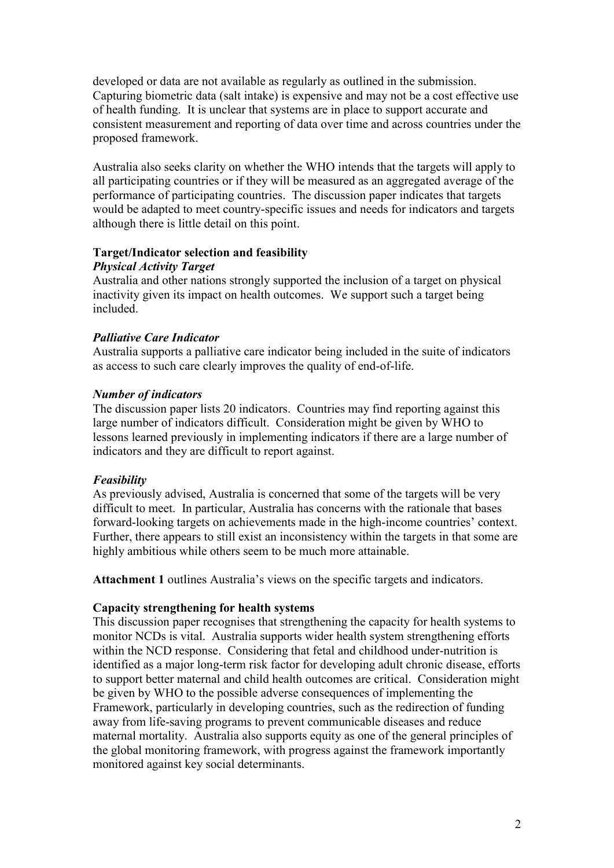developed or data are not available as regularly as outlined in the submission. Capturing biometric data (salt intake) is expensive and may not be a cost effective use of health funding. It is unclear that systems are in place to support accurate and consistent measurement and reporting of data over time and across countries under the proposed framework.

Australia also seeks clarity on whether the WHO intends that the targets will apply to all participating countries or if they will be measured as an aggregated average of the performance of participating countries. The discussion paper indicates that targets would be adapted to meet country-specific issues and needs for indicators and targets although there is little detail on this point.

# **Target/Indicator selection and feasibility**

# *Physical Activity Target*

Australia and other nations strongly supported the inclusion of a target on physical inactivity given its impact on health outcomes. We support such a target being included.

# *Palliative Care Indicator*

Australia supports a palliative care indicator being included in the suite of indicators as access to such care clearly improves the quality of end-of-life.

# *Number of indicators*

The discussion paper lists 20 indicators. Countries may find reporting against this large number of indicators difficult. Consideration might be given by WHO to lessons learned previously in implementing indicators if there are a large number of indicators and they are difficult to report against.

# *Feasibility*

As previously advised, Australia is concerned that some of the targets will be very difficult to meet. In particular, Australia has concerns with the rationale that bases forward-looking targets on achievements made in the high-income countries' context. Further, there appears to still exist an inconsistency within the targets in that some are highly ambitious while others seem to be much more attainable.

**Attachment 1** outlines Australia's views on the specific targets and indicators.

# **Capacity strengthening for health systems**

This discussion paper recognises that strengthening the capacity for health systems to monitor NCDs is vital. Australia supports wider health system strengthening efforts within the NCD response. Considering that fetal and childhood under-nutrition is identified as a major long-term risk factor for developing adult chronic disease, efforts to support better maternal and child health outcomes are critical. Consideration might be given by WHO to the possible adverse consequences of implementing the Framework, particularly in developing countries, such as the redirection of funding away from life-saving programs to prevent communicable diseases and reduce maternal mortality. Australia also supports equity as one of the general principles of the global monitoring framework, with progress against the framework importantly monitored against key social determinants.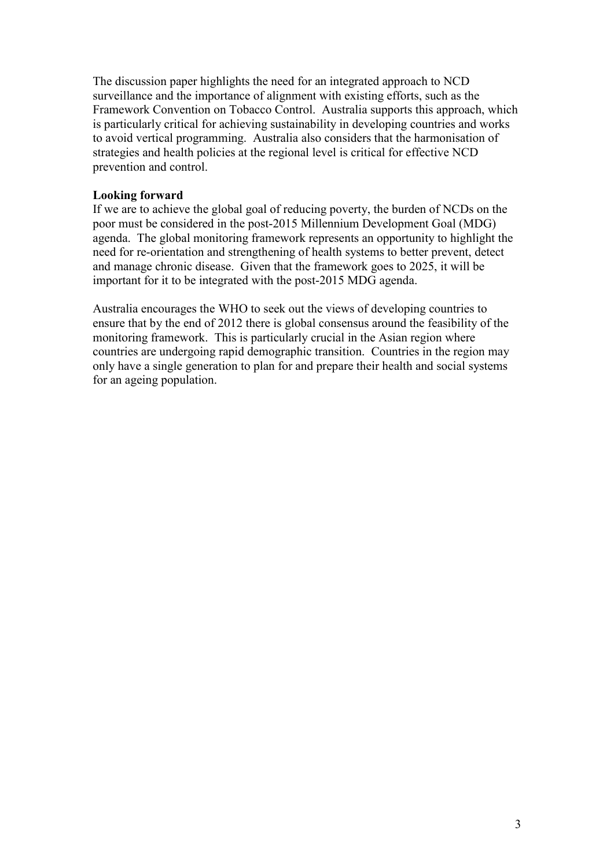The discussion paper highlights the need for an integrated approach to NCD surveillance and the importance of alignment with existing efforts, such as the Framework Convention on Tobacco Control. Australia supports this approach, which is particularly critical for achieving sustainability in developing countries and works to avoid vertical programming. Australia also considers that the harmonisation of strategies and health policies at the regional level is critical for effective NCD prevention and control.

# **Looking forward**

If we are to achieve the global goal of reducing poverty, the burden of NCDs on the poor must be considered in the post-2015 Millennium Development Goal (MDG) agenda. The global monitoring framework represents an opportunity to highlight the need for re-orientation and strengthening of health systems to better prevent, detect and manage chronic disease. Given that the framework goes to 2025, it will be important for it to be integrated with the post-2015 MDG agenda.

Australia encourages the WHO to seek out the views of developing countries to ensure that by the end of 2012 there is global consensus around the feasibility of the monitoring framework. This is particularly crucial in the Asian region where countries are undergoing rapid demographic transition. Countries in the region may only have a single generation to plan for and prepare their health and social systems for an ageing population.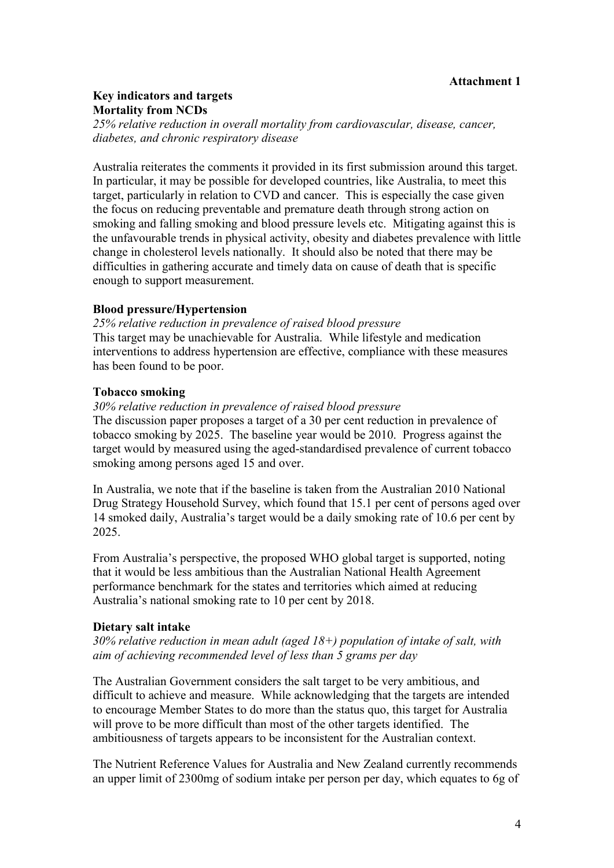### **Attachment 1**

# **Key indicators and targets Mortality from NCDs**

*25% relative reduction in overall mortality from cardiovascular, disease, cancer, diabetes, and chronic respiratory disease*

Australia reiterates the comments it provided in its first submission around this target. In particular, it may be possible for developed countries, like Australia, to meet this target, particularly in relation to CVD and cancer. This is especially the case given the focus on reducing preventable and premature death through strong action on smoking and falling smoking and blood pressure levels etc. Mitigating against this is the unfavourable trends in physical activity, obesity and diabetes prevalence with little change in cholesterol levels nationally. It should also be noted that there may be difficulties in gathering accurate and timely data on cause of death that is specific enough to support measurement.

### **Blood pressure/Hypertension**

*25% relative reduction in prevalence of raised blood pressure* This target may be unachievable for Australia. While lifestyle and medication interventions to address hypertension are effective, compliance with these measures has been found to be poor.

## **Tobacco smoking**

*30% relative reduction in prevalence of raised blood pressure*

The discussion paper proposes a target of a 30 per cent reduction in prevalence of tobacco smoking by 2025. The baseline year would be 2010. Progress against the target would by measured using the aged-standardised prevalence of current tobacco smoking among persons aged 15 and over.

In Australia, we note that if the baseline is taken from the Australian 2010 National Drug Strategy Household Survey, which found that 15.1 per cent of persons aged over 14 smoked daily, Australia's target would be a daily smoking rate of 10.6 per cent by 2025.

From Australia's perspective, the proposed WHO global target is supported, noting that it would be less ambitious than the Australian National Health Agreement performance benchmark for the states and territories which aimed at reducing Australia's national smoking rate to 10 per cent by 2018.

### **Dietary salt intake**

*30% relative reduction in mean adult (aged 18+) population of intake of salt, with aim of achieving recommended level of less than 5 grams per day*

The Australian Government considers the salt target to be very ambitious, and difficult to achieve and measure. While acknowledging that the targets are intended to encourage Member States to do more than the status quo, this target for Australia will prove to be more difficult than most of the other targets identified. The ambitiousness of targets appears to be inconsistent for the Australian context.

The Nutrient Reference Values for Australia and New Zealand currently recommends an upper limit of 2300mg of sodium intake per person per day, which equates to 6g of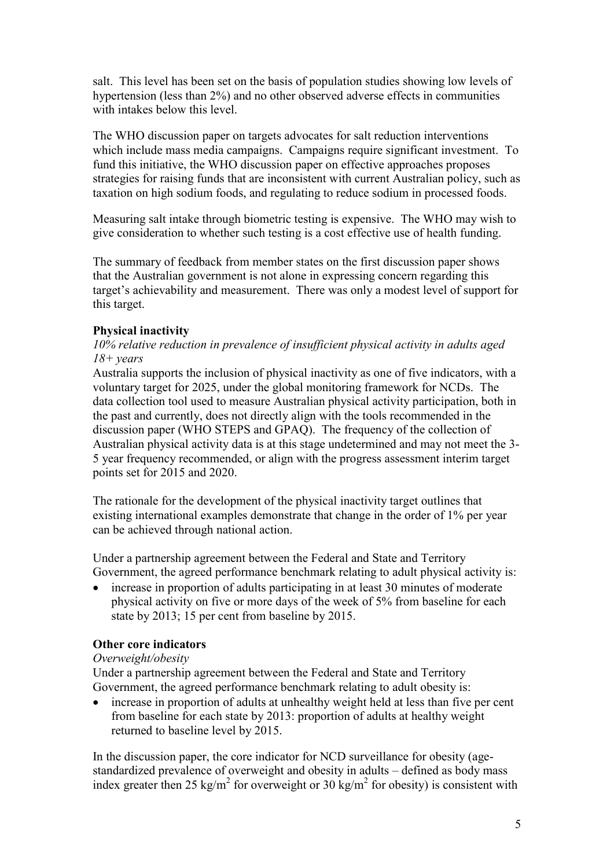salt. This level has been set on the basis of population studies showing low levels of hypertension (less than 2%) and no other observed adverse effects in communities with intakes below this level.

The WHO discussion paper on targets advocates for salt reduction interventions which include mass media campaigns. Campaigns require significant investment. To fund this initiative, the WHO discussion paper on effective approaches proposes strategies for raising funds that are inconsistent with current Australian policy, such as taxation on high sodium foods, and regulating to reduce sodium in processed foods.

Measuring salt intake through biometric testing is expensive. The WHO may wish to give consideration to whether such testing is a cost effective use of health funding.

The summary of feedback from member states on the first discussion paper shows that the Australian government is not alone in expressing concern regarding this target's achievability and measurement. There was only a modest level of support for this target.

## **Physical inactivity**

### *10% relative reduction in prevalence of insufficient physical activity in adults aged 18+ years*

Australia supports the inclusion of physical inactivity as one of five indicators, with a voluntary target for 2025, under the global monitoring framework for NCDs. The data collection tool used to measure Australian physical activity participation, both in the past and currently, does not directly align with the tools recommended in the discussion paper (WHO STEPS and GPAQ). The frequency of the collection of Australian physical activity data is at this stage undetermined and may not meet the 3- 5 year frequency recommended, or align with the progress assessment interim target points set for 2015 and 2020.

The rationale for the development of the physical inactivity target outlines that existing international examples demonstrate that change in the order of 1% per year can be achieved through national action.

Under a partnership agreement between the Federal and State and Territory Government, the agreed performance benchmark relating to adult physical activity is:

 increase in proportion of adults participating in at least 30 minutes of moderate physical activity on five or more days of the week of 5% from baseline for each state by 2013; 15 per cent from baseline by 2015.

# **Other core indicators**

### *Overweight/obesity*

Under a partnership agreement between the Federal and State and Territory Government, the agreed performance benchmark relating to adult obesity is:

 increase in proportion of adults at unhealthy weight held at less than five per cent from baseline for each state by 2013: proportion of adults at healthy weight returned to baseline level by 2015.

In the discussion paper, the core indicator for NCD surveillance for obesity (agestandardized prevalence of overweight and obesity in adults – defined as body mass index greater then 25 kg/m<sup>2</sup> for overweight or 30 kg/m<sup>2</sup> for obesity) is consistent with